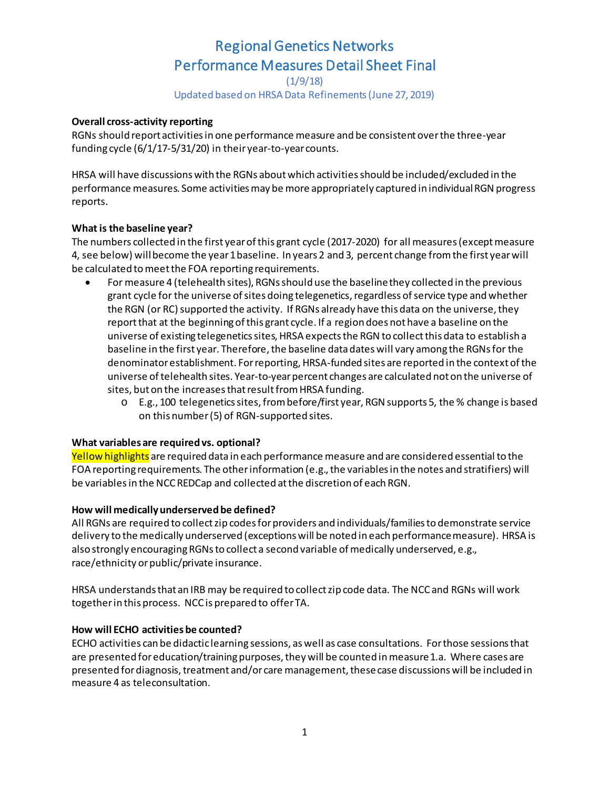(1/9/18) Updated based on HRSA Data Refinements (June 27, 2019)

#### **Overall cross-activity reporting**

RGNs should report activities in one performance measure and be consistent over the three-year funding cycle (6/1/17-5/31/20) in their year-to-year counts.

HRSA will have discussions with the RGNs about which activities should be included/excluded in the performance measures. Some activities may be more appropriately captured in individual RGN progress reports.

#### **What is the baseline year?**

The numbers collected in the first year of this grant cycle (2017-2020) for all measures (except measure 4, see below) will become the year 1 baseline. In years 2 and 3, percent change from the first year will be calculated to meet the FOA reporting requirements.

- For measure 4 (telehealth sites), RGNs should use the baseline they collected in the previous grant cycle for the universe of sites doing telegenetics, regardless of service type and whether the RGN (or RC) supported the activity. If RGNs already have this data on the universe, they report that at the beginning of this grant cycle. If a region does not have a baseline on the universe of existing telegenetics sites, HRSA expects the RGN to collect this data to establish a baseline in the first year. Therefore, the baseline data dates will vary among the RGNs for the denominator establishment. For reporting, HRSA-funded sites are reported in the context of the universe of telehealth sites. Year-to-year percent changes are calculated not on the universe of sites, but on the increasesthat result from HRSA funding.
	- o E.g., 100 telegenetics sites, from before/first year, RGN supports 5, the % change is based on this number(5) of RGN-supported sites.

#### **What variables are requiredvs. optional?**

Yellow highlights are required data in each performance measure and are considered essential to the FOA reporting requirements. The other information (e.g., the variables in the notes and stratifiers) will be variables in the NCC REDCap and collected at the discretion of each RGN.

#### **How will medically underservedbe defined?**

All RGNs are required to collect zip codes for providers and individuals/families to demonstrate service delivery to the medically underserved (exceptions will be noted in each performance measure). HRSA is also strongly encouragingRGNs to collect a second variable of medically underserved, e.g., race/ethnicity or public/private insurance.

HRSA understands that an IRB may be required to collect zip code data. The NCC and RGNs will work together in this process. NCC is prepared to offer TA.

#### **How will ECHO activities be counted?**

ECHO activities can be didactic learning sessions, as well as case consultations. For those sessions that are presented for education/training purposes, they will be counted in measure 1.a. Where cases are presented for diagnosis, treatment and/or care management, these case discussions will be included in measure 4 as teleconsultation.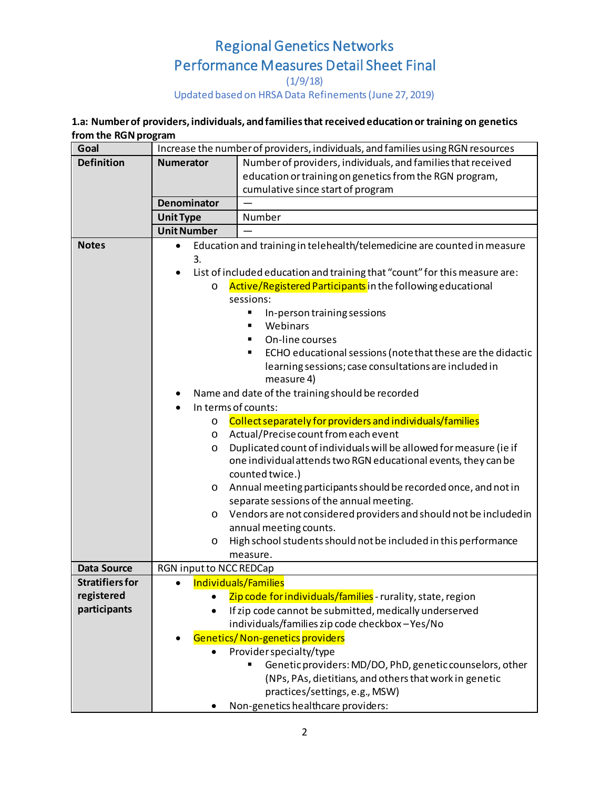(1/9/18)

Updated based on HRSA Data Refinements (June 27, 2019)

### **1.a: Number of providers, individuals, and families that received education or training on genetics from the RGN program**

| Goal                       | Increase the number of providers, individuals, and families using RGN resources             |                                                                    |  |
|----------------------------|---------------------------------------------------------------------------------------------|--------------------------------------------------------------------|--|
| <b>Definition</b>          | Number of providers, individuals, and families that received<br><b>Numerator</b>            |                                                                    |  |
|                            |                                                                                             | education or training on genetics from the RGN program,            |  |
|                            |                                                                                             | cumulative since start of program                                  |  |
|                            | <b>Denominator</b>                                                                          |                                                                    |  |
|                            | <b>Unit Type</b>                                                                            | Number                                                             |  |
|                            | <b>Unit Number</b>                                                                          |                                                                    |  |
| <b>Notes</b>               | Education and training in telehealth/telemedicine are counted in measure<br>$\bullet$<br>3. |                                                                    |  |
|                            | List of included education and training that "count" for this measure are:                  |                                                                    |  |
|                            | O                                                                                           | Active/Registered Participants in the following educational        |  |
|                            |                                                                                             | sessions:                                                          |  |
|                            |                                                                                             | In-person training sessions                                        |  |
|                            |                                                                                             | Webinars                                                           |  |
|                            |                                                                                             | On-line courses                                                    |  |
|                            |                                                                                             | ECHO educational sessions (note that these are the didactic<br>٠   |  |
|                            |                                                                                             | learning sessions; case consultations are included in              |  |
|                            | measure 4)                                                                                  |                                                                    |  |
|                            | Name and date of the training should be recorded<br>٠                                       |                                                                    |  |
|                            |                                                                                             | In terms of counts:                                                |  |
|                            | O                                                                                           | Collect separately for providers and individuals/families          |  |
|                            | Actual/Precise count from each event<br>O                                                   |                                                                    |  |
|                            | $\circ$                                                                                     | Duplicated count of individuals will be allowed for measure (ie if |  |
|                            |                                                                                             | one individual attends two RGN educational events, they can be     |  |
|                            |                                                                                             | counted twice.)                                                    |  |
|                            | O                                                                                           | Annual meeting participants should be recorded once, and not in    |  |
|                            |                                                                                             | separate sessions of the annual meeting.                           |  |
|                            | O                                                                                           | Vendors are not considered providers and should not be included in |  |
|                            |                                                                                             | annual meeting counts.                                             |  |
|                            | O                                                                                           | High school students should not be included in this performance    |  |
| <b>Data Source</b>         |                                                                                             | measure.                                                           |  |
| <b>Stratifiers for</b>     | RGN input to NCC REDCap<br>Individuals/Families                                             |                                                                    |  |
|                            | $\bullet$                                                                                   |                                                                    |  |
| registered<br>participants | $\bullet$                                                                                   | Zip code for individuals/families - rurality, state, region        |  |
|                            |                                                                                             | If zip code cannot be submitted, medically underserved             |  |
|                            |                                                                                             | individuals/families zip code checkbox-Yes/No                      |  |
|                            |                                                                                             | Genetics/Non-genetics providers                                    |  |
|                            |                                                                                             | Provider specialty/type                                            |  |
|                            |                                                                                             | Genetic providers: MD/DO, PhD, genetic counselors, other           |  |
|                            |                                                                                             | (NPs, PAs, dietitians, and others that work in genetic             |  |
|                            |                                                                                             | practices/settings, e.g., MSW)                                     |  |
|                            |                                                                                             | Non-genetics healthcare providers:                                 |  |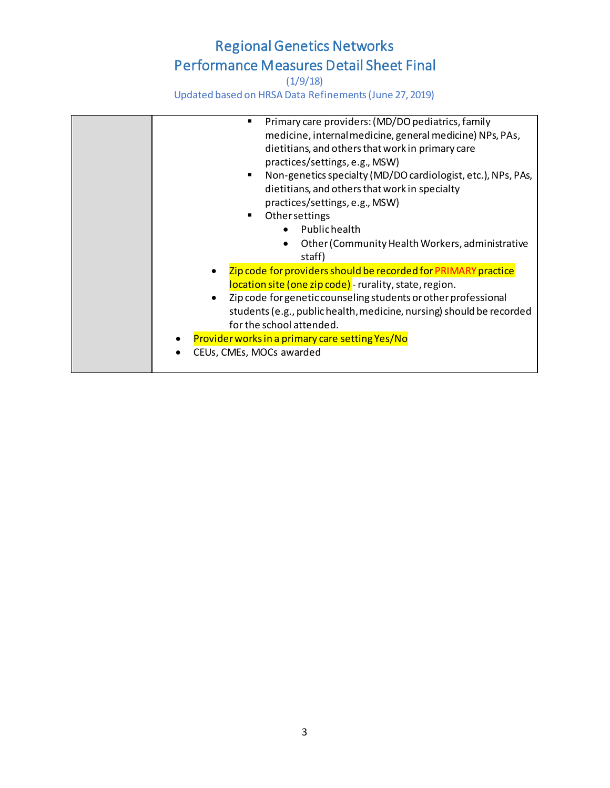(1/9/18)

| Primary care providers: (MD/DO pediatrics, family<br>٠<br>medicine, internal medicine, general medicine) NPs, PAs,<br>dietitians, and others that work in primary care<br>practices/settings, e.g., MSW)<br>Non-genetics specialty (MD/DO cardiologist, etc.), NPs, PAs,<br>п<br>dietitians, and others that work in specialty<br>practices/settings, e.g., MSW)<br>Othersettings<br>٠<br><b>Publichealth</b><br>Other (Community Health Workers, administrative<br>staff) |
|----------------------------------------------------------------------------------------------------------------------------------------------------------------------------------------------------------------------------------------------------------------------------------------------------------------------------------------------------------------------------------------------------------------------------------------------------------------------------|
| Zip code for providers should be recorded for PRIMARY practice<br>location site (one zip code) - rurality, state, region.<br>Zip code for genetic counseling students or other professional<br>students (e.g., public health, medicine, nursing) should be recorded<br>for the school attended.<br>Provider works in a primary care setting Yes/No<br>CEUs, CMEs, MOCs awarded                                                                                             |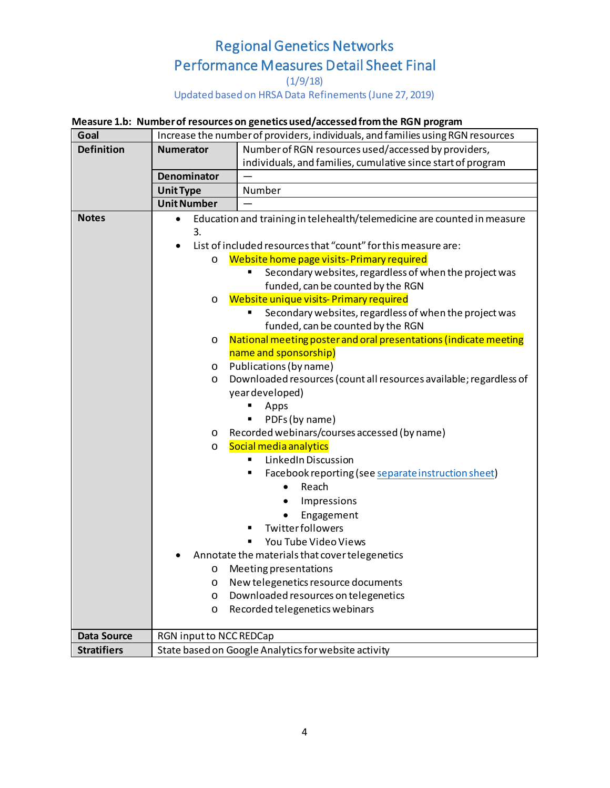(1/9/18)

Updated based on HRSA Data Refinements (June 27, 2019)

### **Measure 1.b: Number of resources on genetics used/accessed from the RGN program**

| Goal               | Increase the number of providers, individuals, and families using RGN resources       |                                                                  |
|--------------------|---------------------------------------------------------------------------------------|------------------------------------------------------------------|
| <b>Definition</b>  | <b>Numerator</b>                                                                      | Number of RGN resources used/accessed by providers,              |
|                    |                                                                                       | individuals, and families, cumulative since start of program     |
|                    | <b>Denominator</b>                                                                    |                                                                  |
|                    | <b>Unit Type</b>                                                                      | Number                                                           |
|                    | <b>Unit Number</b>                                                                    |                                                                  |
| <b>Notes</b>       | Education and training in telehealth/telemedicine are counted in measure<br>$\bullet$ |                                                                  |
|                    | 3.<br>List of included resources that "count" for this measure are:                   |                                                                  |
|                    | O                                                                                     | Website home page visits-Primary required                        |
|                    |                                                                                       | Secondary websites, regardless of when the project was           |
|                    |                                                                                       | funded, can be counted by the RGN                                |
|                    | $\circ$                                                                               | Website unique visits-Primary required                           |
|                    |                                                                                       | Secondary websites, regardless of when the project was           |
|                    |                                                                                       | funded, can be counted by the RGN                                |
|                    | O                                                                                     | National meeting poster and oral presentations (indicate meeting |
|                    |                                                                                       | name and sponsorship)                                            |
|                    | Publications (by name)<br>$\circ$                                                     |                                                                  |
|                    | Downloaded resources (count all resources available; regardless of<br>O               |                                                                  |
|                    | year developed)                                                                       |                                                                  |
|                    | Apps                                                                                  |                                                                  |
|                    | PDFs (by name)                                                                        |                                                                  |
|                    | Recorded webinars/courses accessed (by name)<br>O                                     |                                                                  |
|                    | Social media analytics<br>$\circ$                                                     |                                                                  |
|                    | LinkedIn Discussion                                                                   |                                                                  |
|                    |                                                                                       | Facebook reporting (see separate instruction sheet)              |
|                    |                                                                                       | Reach<br>$\bullet$                                               |
|                    |                                                                                       | Impressions                                                      |
|                    |                                                                                       | Engagement                                                       |
|                    |                                                                                       | Twitterfollowers                                                 |
|                    |                                                                                       | You Tube Video Views                                             |
|                    |                                                                                       | Annotate the materials that cover telegenetics                   |
|                    | O                                                                                     | Meeting presentations                                            |
|                    | O                                                                                     | New telegenetics resource documents                              |
|                    | $\circ$                                                                               | Downloaded resources on telegenetics                             |
|                    | O                                                                                     | Recorded telegenetics webinars                                   |
| <b>Data Source</b> | RGN input to NCC REDCap                                                               |                                                                  |
| <b>Stratifiers</b> |                                                                                       | State based on Google Analytics for website activity             |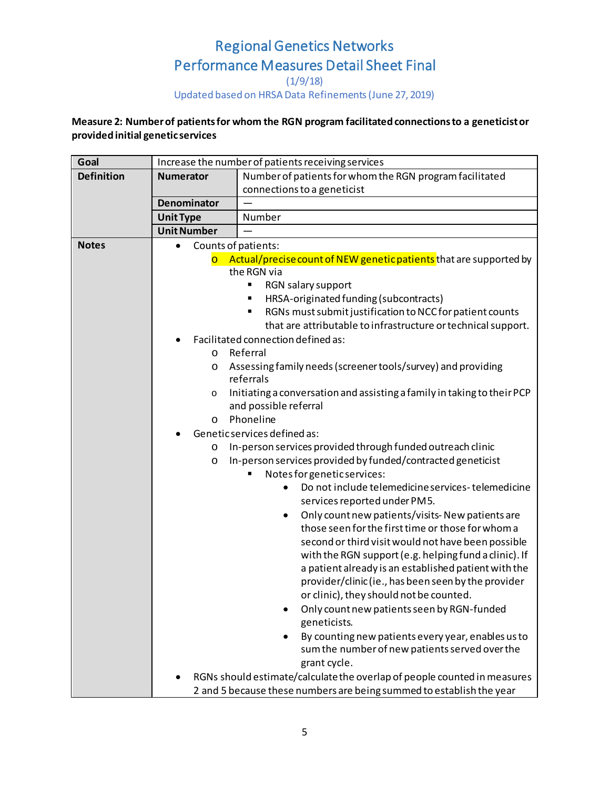(1/9/18)

Updated based on HRSA Data Refinements (June 27, 2019)

### **Measure 2: Number of patients for whom the RGN program facilitated connections to a geneticistor provided initial genetic services**

| Goal              | Increase the number of patients receiving services                                              |                                                                          |
|-------------------|-------------------------------------------------------------------------------------------------|--------------------------------------------------------------------------|
| <b>Definition</b> | <b>Numerator</b>                                                                                | Number of patients for whom the RGN program facilitated                  |
|                   |                                                                                                 | connections to a geneticist                                              |
|                   | <b>Denominator</b>                                                                              |                                                                          |
|                   | <b>Unit Type</b>                                                                                | Number                                                                   |
|                   | <b>Unit Number</b>                                                                              |                                                                          |
| <b>Notes</b>      | Counts of patients:                                                                             |                                                                          |
|                   | Actual/precise count of NEW genetic patients that are supported by<br>$\overline{O}$            |                                                                          |
|                   | the RGN via                                                                                     |                                                                          |
|                   | ٠<br>RGN salary support                                                                         |                                                                          |
|                   | HRSA-originated funding (subcontracts)<br>٠                                                     |                                                                          |
|                   | RGNs must submit justification to NCC for patient counts<br>٠                                   |                                                                          |
|                   |                                                                                                 | that are attributable to infrastructure or technical support.            |
|                   |                                                                                                 | Facilitated connection defined as:                                       |
|                   | $\circ$                                                                                         | Referral                                                                 |
|                   | O                                                                                               | Assessing family needs (screener tools/survey) and providing             |
|                   | referrals                                                                                       |                                                                          |
|                   | Initiating a conversation and assisting a family in taking to their PCP<br>$\circ$              |                                                                          |
|                   | and possible referral                                                                           |                                                                          |
|                   | Phoneline<br>$\circ$                                                                            |                                                                          |
|                   | Genetic services defined as:                                                                    |                                                                          |
|                   | O                                                                                               | In-person services provided through funded outreach clinic               |
|                   | In-person services provided by funded/contracted geneticist<br>O<br>Notes for genetic services: |                                                                          |
|                   | Do not include telemedicine services-telemedicine                                               |                                                                          |
|                   |                                                                                                 | services reported under PM5.                                             |
|                   |                                                                                                 | Only count new patients/visits-New patients are                          |
|                   |                                                                                                 | those seen for the first time or those for whom a                        |
|                   |                                                                                                 | second or third visit would not have been possible                       |
|                   |                                                                                                 | with the RGN support (e.g. helping fund a clinic). If                    |
|                   |                                                                                                 | a patient already is an established patient with the                     |
|                   |                                                                                                 | provider/clinic (ie., has been seen by the provider                      |
|                   |                                                                                                 | or clinic), they should not be counted.                                  |
|                   |                                                                                                 | Only count new patients seen by RGN-funded                               |
|                   |                                                                                                 | geneticists.                                                             |
|                   |                                                                                                 | By counting new patients every year, enables us to                       |
|                   |                                                                                                 | sum the number of new patients served over the                           |
|                   |                                                                                                 | grant cycle.                                                             |
|                   |                                                                                                 | RGNs should estimate/calculate the overlap of people counted in measures |
|                   |                                                                                                 | 2 and 5 because these numbers are being summed to establish the year     |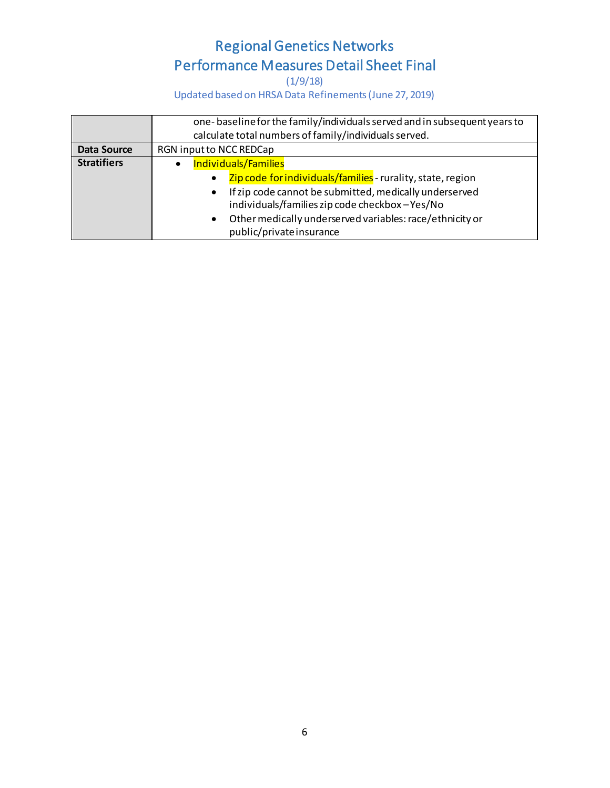(1/9/18)

|                    | one-baseline for the family/individuals served and in subsequent years to |  |  |
|--------------------|---------------------------------------------------------------------------|--|--|
|                    | calculate total numbers of family/individuals served.                     |  |  |
| Data Source        | RGN input to NCC REDCap                                                   |  |  |
| <b>Stratifiers</b> | Individuals/Families                                                      |  |  |
|                    | Zip code for individuals/families - rurality, state, region<br>$\bullet$  |  |  |
|                    | If zip code cannot be submitted, medically underserved                    |  |  |
|                    | individuals/families zip code checkbox-Yes/No                             |  |  |
|                    | Other medically underserved variables: race/ethnicity or<br>$\bullet$     |  |  |
|                    | public/private insurance                                                  |  |  |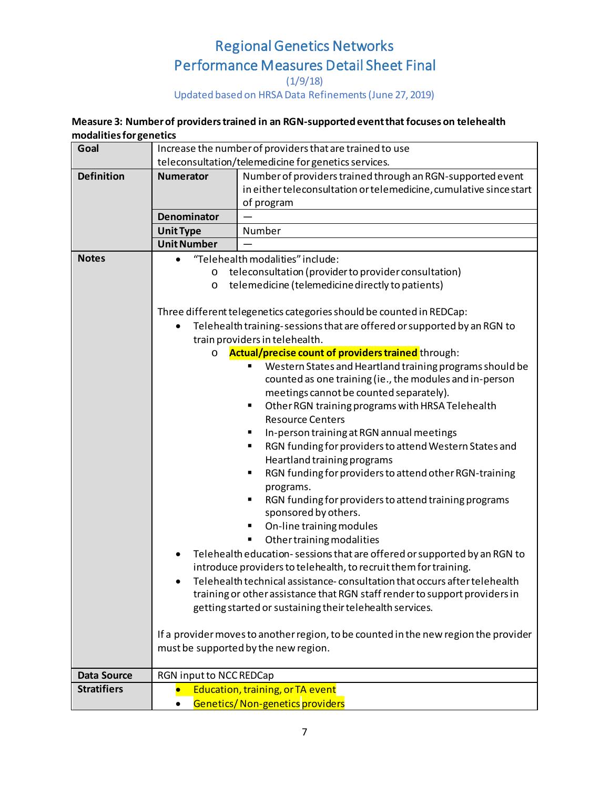### (1/9/18)

Updated based on HRSA Data Refinements (June 27, 2019)

### **Measure 3: Number of providers trained in an RGN-supported eventthat focuses on telehealth modalities for genetics**

| Goal               | Increase the number of providers that are trained to use                                                                                                           |                                                                                                                                                                                                                                                                                                                                                                                                                                                                                                                                                                                                                                                                                                                                                                                                                                                                                                                                                                                                                                                                                                                                                                       |  |
|--------------------|--------------------------------------------------------------------------------------------------------------------------------------------------------------------|-----------------------------------------------------------------------------------------------------------------------------------------------------------------------------------------------------------------------------------------------------------------------------------------------------------------------------------------------------------------------------------------------------------------------------------------------------------------------------------------------------------------------------------------------------------------------------------------------------------------------------------------------------------------------------------------------------------------------------------------------------------------------------------------------------------------------------------------------------------------------------------------------------------------------------------------------------------------------------------------------------------------------------------------------------------------------------------------------------------------------------------------------------------------------|--|
|                    | teleconsultation/telemedicine for genetics services.                                                                                                               |                                                                                                                                                                                                                                                                                                                                                                                                                                                                                                                                                                                                                                                                                                                                                                                                                                                                                                                                                                                                                                                                                                                                                                       |  |
| <b>Definition</b>  | <b>Numerator</b>                                                                                                                                                   | Number of providers trained through an RGN-supported event<br>in either teleconsultation or telemedicine, cumulative since start<br>of program                                                                                                                                                                                                                                                                                                                                                                                                                                                                                                                                                                                                                                                                                                                                                                                                                                                                                                                                                                                                                        |  |
|                    | <b>Denominator</b>                                                                                                                                                 |                                                                                                                                                                                                                                                                                                                                                                                                                                                                                                                                                                                                                                                                                                                                                                                                                                                                                                                                                                                                                                                                                                                                                                       |  |
|                    | <b>Unit Type</b>                                                                                                                                                   | Number                                                                                                                                                                                                                                                                                                                                                                                                                                                                                                                                                                                                                                                                                                                                                                                                                                                                                                                                                                                                                                                                                                                                                                |  |
|                    | <b>Unit Number</b>                                                                                                                                                 |                                                                                                                                                                                                                                                                                                                                                                                                                                                                                                                                                                                                                                                                                                                                                                                                                                                                                                                                                                                                                                                                                                                                                                       |  |
| <b>Notes</b>       | "Telehealth modalities" include:<br>teleconsultation (provider to provider consultation)<br>$\circ$<br>telemedicine (telemedicine directly to patients)<br>$\circ$ |                                                                                                                                                                                                                                                                                                                                                                                                                                                                                                                                                                                                                                                                                                                                                                                                                                                                                                                                                                                                                                                                                                                                                                       |  |
|                    |                                                                                                                                                                    | Three different telegenetics categories should be counted in REDCap:<br>Telehealth training-sessions that are offered or supported by an RGN to<br>train providers in telehealth.                                                                                                                                                                                                                                                                                                                                                                                                                                                                                                                                                                                                                                                                                                                                                                                                                                                                                                                                                                                     |  |
|                    | O                                                                                                                                                                  |                                                                                                                                                                                                                                                                                                                                                                                                                                                                                                                                                                                                                                                                                                                                                                                                                                                                                                                                                                                                                                                                                                                                                                       |  |
|                    |                                                                                                                                                                    | Actual/precise count of providers trained through:<br>Western States and Heartland training programs should be<br>counted as one training (ie., the modules and in-person<br>meetings cannot be counted separately).<br>Other RGN training programs with HRSA Telehealth<br>٠<br><b>Resource Centers</b><br>In-person training at RGN annual meetings<br>RGN funding for providers to attend Western States and<br>Heartland training programs<br>RGN funding for providers to attend other RGN-training<br>programs.<br>RGN funding for providers to attend training programs<br>sponsored by others.<br>On-line training modules<br>Other training modalities<br>Telehealth education-sessions that are offered or supported by an RGN to<br>introduce providers to telehealth, to recruit them for training.<br>Telehealth technical assistance-consultation that occurs after telehealth<br>training or other assistance that RGN staff render to support providers in<br>getting started or sustaining their telehealth services.<br>If a provider moves to another region, to be counted in the new region the provider<br>must be supported by the new region. |  |
| <b>Data Source</b> | RGN input to NCC REDCap                                                                                                                                            |                                                                                                                                                                                                                                                                                                                                                                                                                                                                                                                                                                                                                                                                                                                                                                                                                                                                                                                                                                                                                                                                                                                                                                       |  |
| <b>Stratifiers</b> |                                                                                                                                                                    | Education, training, or TA event                                                                                                                                                                                                                                                                                                                                                                                                                                                                                                                                                                                                                                                                                                                                                                                                                                                                                                                                                                                                                                                                                                                                      |  |
|                    |                                                                                                                                                                    | Genetics/Non-genetics providers                                                                                                                                                                                                                                                                                                                                                                                                                                                                                                                                                                                                                                                                                                                                                                                                                                                                                                                                                                                                                                                                                                                                       |  |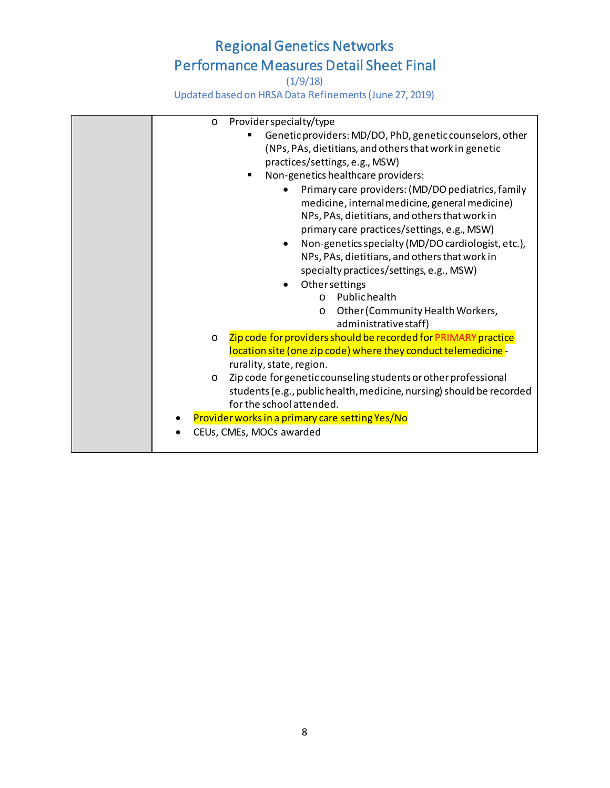(1/9/18)

| Provider specialty/type<br>$\circ$                                                                                                                                                                                                                                                                                                                                                                                                                                          |
|-----------------------------------------------------------------------------------------------------------------------------------------------------------------------------------------------------------------------------------------------------------------------------------------------------------------------------------------------------------------------------------------------------------------------------------------------------------------------------|
| Genetic providers: MD/DO, PhD, genetic counselors, other<br>(NPs, PAs, dietitians, and others that work in genetic<br>practices/settings, e.g., MSW)                                                                                                                                                                                                                                                                                                                        |
| Non-genetics healthcare providers:                                                                                                                                                                                                                                                                                                                                                                                                                                          |
| Primary care providers: (MD/DO pediatrics, family<br>medicine, internal medicine, general medicine)<br>NPs, PAs, dietitians, and others that work in<br>primary care practices/settings, e.g., MSW)<br>Non-genetics specialty (MD/DO cardiologist, etc.),<br>NPs, PAs, dietitians, and others that work in<br>specialty practices/settings, e.g., MSW)<br>Othersettings<br>Publichealth<br>$\Omega$<br>Other (Community Health Workers,<br>$\circ$<br>administrative staff) |
| Zip code for providers should be recorded for PRIMARY practice<br>$\circ$                                                                                                                                                                                                                                                                                                                                                                                                   |
| location site (one zip code) where they conduct telemedicine -<br>rurality, state, region.                                                                                                                                                                                                                                                                                                                                                                                  |
| Zip code for genetic counseling students or other professional<br>$\circ$<br>students (e.g., public health, medicine, nursing) should be recorded<br>for the school attended.                                                                                                                                                                                                                                                                                               |
| Provider works in a primary care setting Yes/No                                                                                                                                                                                                                                                                                                                                                                                                                             |
| CEUs, CMEs, MOCs awarded                                                                                                                                                                                                                                                                                                                                                                                                                                                    |
|                                                                                                                                                                                                                                                                                                                                                                                                                                                                             |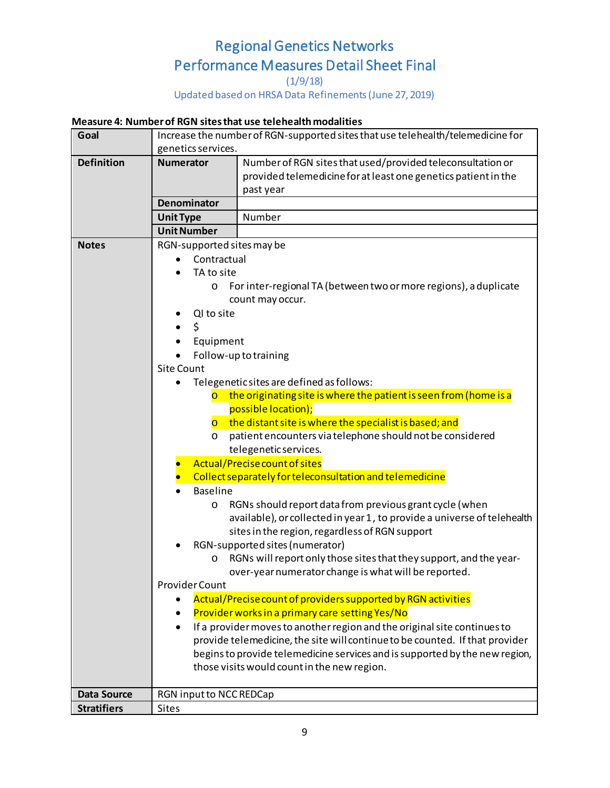### (1/9/18)

Updated based on HRSA Data Refinements (June 27, 2019)

### **Measure 4: Number of RGN sitesthat use telehealth modalities**

| Goal               | Increase the number of RGN-supported sites that use telehealth/telemedicine for |                                                                              |  |
|--------------------|---------------------------------------------------------------------------------|------------------------------------------------------------------------------|--|
|                    | genetics services.                                                              |                                                                              |  |
| <b>Definition</b>  | <b>Numerator</b>                                                                | Number of RGN sites that used/provided teleconsultation or                   |  |
|                    |                                                                                 | provided telemedicine for at least one genetics patient in the               |  |
|                    |                                                                                 | past year                                                                    |  |
|                    | <b>Denominator</b>                                                              |                                                                              |  |
|                    | <b>Unit Type</b>                                                                | Number                                                                       |  |
|                    | <b>Unit Number</b>                                                              |                                                                              |  |
| <b>Notes</b>       | RGN-supported sites may be                                                      |                                                                              |  |
|                    | Contractual<br>$\bullet$                                                        |                                                                              |  |
|                    | TA to site                                                                      |                                                                              |  |
|                    | O                                                                               | For inter-regional TA (between two or more regions), a duplicate             |  |
|                    |                                                                                 | count may occur.                                                             |  |
|                    | QI to site                                                                      |                                                                              |  |
|                    | \$                                                                              |                                                                              |  |
|                    | Equipment                                                                       |                                                                              |  |
|                    |                                                                                 | Follow-up to training                                                        |  |
|                    | <b>Site Count</b>                                                               |                                                                              |  |
|                    |                                                                                 | Telegenetic sites are defined as follows:                                    |  |
|                    |                                                                                 | $\circ$ the originating site is where the patient is seen from (home is a    |  |
|                    |                                                                                 | possible location);                                                          |  |
|                    | $\overline{O}$                                                                  | the distant site is where the specialist is based; and                       |  |
|                    | patient encounters via telephone should not be considered<br>O                  |                                                                              |  |
|                    | telegenetic services.                                                           |                                                                              |  |
|                    | Actual/Precise count of sites                                                   |                                                                              |  |
|                    | Collect separately for teleconsultation and telemedicine                        |                                                                              |  |
|                    | <b>Baseline</b>                                                                 |                                                                              |  |
|                    | O                                                                               | RGNs should report data from previous grant cycle (when                      |  |
|                    |                                                                                 | available), or collected in year 1, to provide a universe of telehealth      |  |
|                    |                                                                                 | sites in the region, regardless of RGN support                               |  |
|                    |                                                                                 | RGN-supported sites (numerator)                                              |  |
|                    | $\circ$                                                                         | RGNs will report only those sites that they support, and the year-           |  |
|                    |                                                                                 | over-year numerator change is what will be reported.                         |  |
|                    | Provider Count                                                                  |                                                                              |  |
|                    |                                                                                 | Actual/Precise count of providers supported by RGN activities                |  |
|                    | $\bullet$                                                                       | Provider works in a primary care setting Yes/No                              |  |
|                    |                                                                                 | If a provider moves to another region and the original site continues to     |  |
|                    |                                                                                 | provide telemedicine, the site will continue to be counted. If that provider |  |
|                    |                                                                                 | begins to provide telemedicine services and is supported by the new region,  |  |
|                    |                                                                                 | those visits would count in the new region.                                  |  |
| <b>Data Source</b> | RGN input to NCC REDCap                                                         |                                                                              |  |
| <b>Stratifiers</b> | <b>Sites</b>                                                                    |                                                                              |  |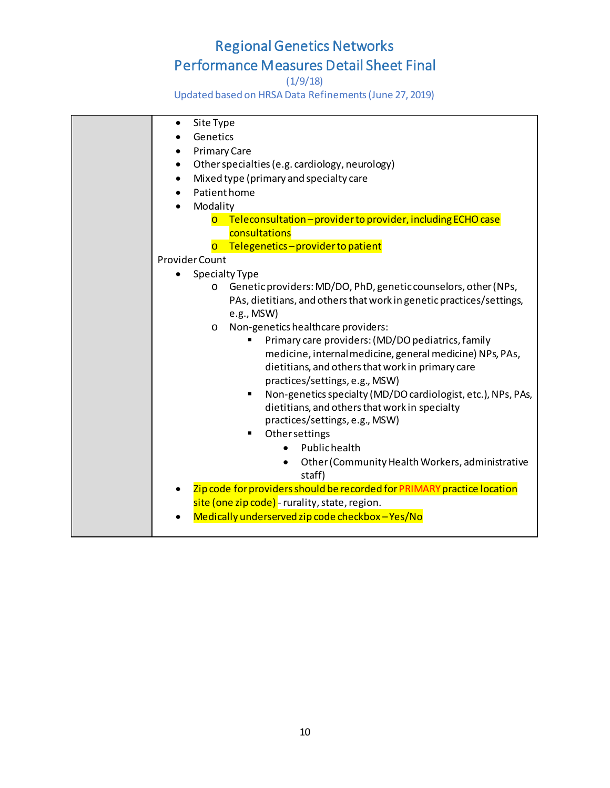(1/9/18)

| Site Type<br>$\bullet$                                                    |
|---------------------------------------------------------------------------|
| Genetics                                                                  |
| <b>Primary Care</b><br>$\bullet$                                          |
| Other specialties (e.g. cardiology, neurology)<br>$\bullet$               |
| Mixed type (primary and specialty care<br>$\bullet$                       |
| Patient home<br>$\bullet$                                                 |
| Modality<br>$\bullet$                                                     |
| Teleconsultation - provider to provider, including ECHO case              |
| consultations                                                             |
| o Telegenetics-provider to patient                                        |
| Provider Count                                                            |
| Specialty Type                                                            |
| Genetic providers: MD/DO, PhD, genetic counselors, other (NPs,<br>$\circ$ |
| PAs, dietitians, and others that work in genetic practices/settings,      |
| e.g., MSW)                                                                |
| Non-genetics healthcare providers:<br>$\circ$                             |
| Primary care providers: (MD/DO pediatrics, family<br>٠                    |
| medicine, internal medicine, general medicine) NPs, PAs,                  |
| dietitians, and others that work in primary care                          |
| practices/settings, e.g., MSW)                                            |
| Non-genetics specialty (MD/DO cardiologist, etc.), NPs, PAs,              |
| dietitians, and others that work in specialty                             |
| practices/settings, e.g., MSW)                                            |
| Othersettings<br>٠                                                        |
| Publichealth                                                              |
| Other (Community Health Workers, administrative                           |
| staff)                                                                    |
| Zip code for providers should be recorded for PRIMARY practice location   |
| site (one zip code) - rurality, state, region.                            |
| Medically underserved zip code checkbox - Yes/No                          |
|                                                                           |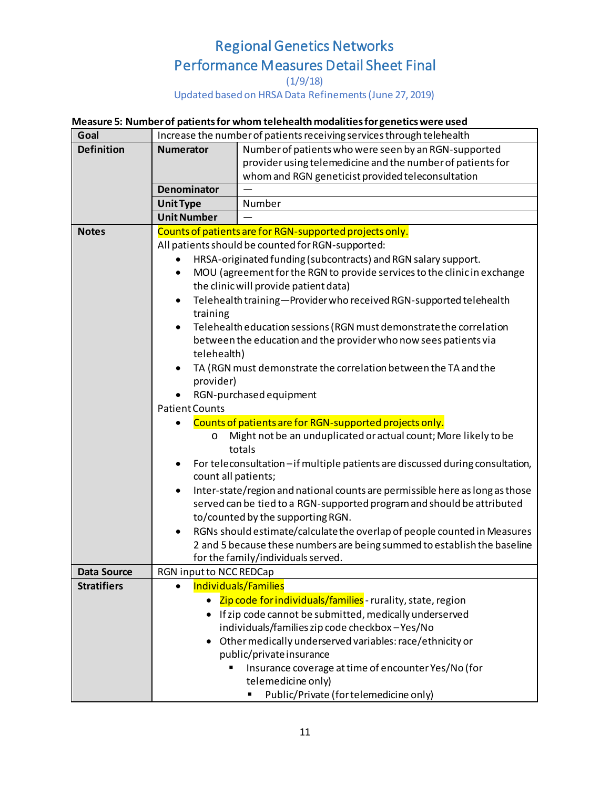(1/9/18)

Updated based on HRSA Data Refinements (June 27, 2019)

### **Measure 5: Number of patients for whom telehealth modalities for genetics were used**

| Goal               | Increase the number of patients receiving services through telehealth                     |                                                                                |  |
|--------------------|-------------------------------------------------------------------------------------------|--------------------------------------------------------------------------------|--|
| <b>Definition</b>  | <b>Numerator</b>                                                                          | Number of patients who were seen by an RGN-supported                           |  |
|                    |                                                                                           | provider using telemedicine and the number of patients for                     |  |
|                    |                                                                                           | whom and RGN geneticist provided teleconsultation                              |  |
|                    | <b>Denominator</b>                                                                        |                                                                                |  |
|                    | <b>Unit Type</b>                                                                          | Number                                                                         |  |
|                    | <b>Unit Number</b>                                                                        |                                                                                |  |
| <b>Notes</b>       | Counts of patients are for RGN-supported projects only.                                   |                                                                                |  |
|                    | All patients should be counted for RGN-supported:                                         |                                                                                |  |
|                    | HRSA-originated funding (subcontracts) and RGN salary support.                            |                                                                                |  |
|                    | MOU (agreement for the RGN to provide services to the clinic in exchange<br>$\bullet$     |                                                                                |  |
|                    |                                                                                           | the clinic will provide patient data)                                          |  |
|                    | $\bullet$                                                                                 | Telehealth training-Provider who received RGN-supported telehealth             |  |
|                    | training                                                                                  |                                                                                |  |
|                    |                                                                                           | Telehealth education sessions (RGN must demonstrate the correlation            |  |
|                    |                                                                                           | between the education and the provider who now sees patients via               |  |
|                    | telehealth)                                                                               |                                                                                |  |
|                    | TA (RGN must demonstrate the correlation between the TA and the                           |                                                                                |  |
|                    | provider)                                                                                 |                                                                                |  |
|                    | RGN-purchased equipment                                                                   |                                                                                |  |
|                    | <b>Patient Counts</b>                                                                     |                                                                                |  |
|                    | Counts of patients are for RGN-supported projects only.                                   |                                                                                |  |
|                    | O                                                                                         | Might not be an unduplicated or actual count; More likely to be                |  |
|                    | totals                                                                                    |                                                                                |  |
|                    |                                                                                           | For teleconsultation - if multiple patients are discussed during consultation, |  |
|                    | count all patients;                                                                       |                                                                                |  |
|                    | Inter-state/region and national counts are permissible here as long as those<br>$\bullet$ |                                                                                |  |
|                    | served can be tied to a RGN-supported program and should be attributed                    |                                                                                |  |
|                    |                                                                                           | to/counted by the supporting RGN.                                              |  |
|                    | RGNs should estimate/calculate the overlap of people counted in Measures<br>٠             |                                                                                |  |
|                    |                                                                                           | 2 and 5 because these numbers are being summed to establish the baseline       |  |
|                    | for the family/individuals served.                                                        |                                                                                |  |
| <b>Data Source</b> | RGN input to NCC REDCap                                                                   |                                                                                |  |
| <b>Stratifiers</b> | Individuals/Families                                                                      |                                                                                |  |
|                    |                                                                                           | • Zip code for individuals/families - rurality, state, region                  |  |
|                    |                                                                                           | If zip code cannot be submitted, medically underserved                         |  |
|                    |                                                                                           | individuals/families zip code checkbox-Yes/No                                  |  |
|                    |                                                                                           | Other medically underserved variables: race/ethnicity or                       |  |
|                    |                                                                                           | public/private insurance                                                       |  |
|                    |                                                                                           | Insurance coverage at time of encounter Yes/No (for                            |  |
|                    |                                                                                           | telemedicine only)                                                             |  |
|                    |                                                                                           | Public/Private (for telemedicine only)                                         |  |